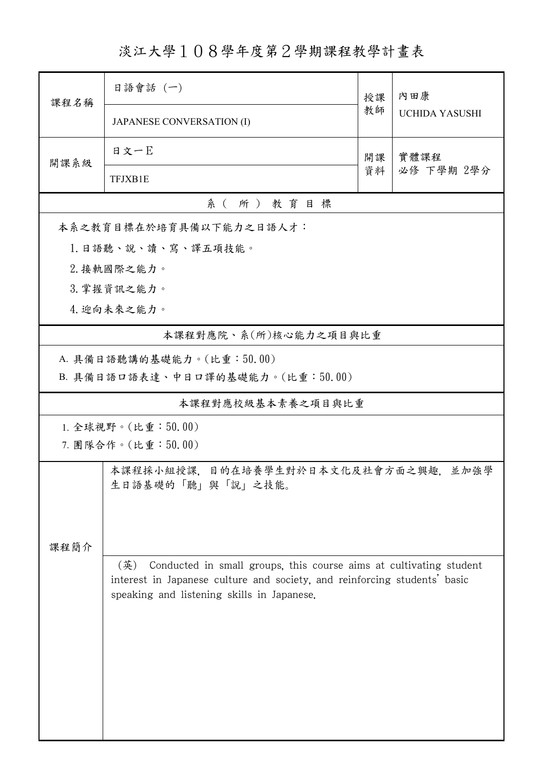淡江大學108學年度第2學期課程教學計畫表

| 課程名稱               | 日語會話 (一)                                                                  | 授課 | 內田康<br><b>UCHIDA YASUSHI</b> |  |  |  |  |
|--------------------|---------------------------------------------------------------------------|----|------------------------------|--|--|--|--|
|                    | <b>JAPANESE CONVERSATION (I)</b>                                          | 教師 |                              |  |  |  |  |
| 開課系級               | 日文一E                                                                      | 開課 | 實體課程<br>必修 下學期 2學分           |  |  |  |  |
|                    | TFJXB1E                                                                   | 資料 |                              |  |  |  |  |
| 系(所)教育目標           |                                                                           |    |                              |  |  |  |  |
|                    | 本系之教育目標在於培育具備以下能力之日語人才:                                                   |    |                              |  |  |  |  |
| 1.日語聽、說、讀、寫、譯五項技能。 |                                                                           |    |                              |  |  |  |  |
| 2. 接軌國際之能力。        |                                                                           |    |                              |  |  |  |  |
| 3. 掌握資訊之能力。        |                                                                           |    |                              |  |  |  |  |
| 4. 迎向未來之能力。        |                                                                           |    |                              |  |  |  |  |
|                    | 本課程對應院、系(所)核心能力之項目與比重                                                     |    |                              |  |  |  |  |
|                    | A. 具備日語聽講的基礎能力。(比重:50.00)                                                 |    |                              |  |  |  |  |
|                    | B. 具備日語口語表達、中日口譯的基礎能力。(比重:50.00)                                          |    |                              |  |  |  |  |
| 本課程對應校級基本素養之項目與比重  |                                                                           |    |                              |  |  |  |  |
| 1. 全球視野。(比重:50.00) |                                                                           |    |                              |  |  |  |  |
| 7. 團隊合作。(比重:50.00) |                                                                           |    |                              |  |  |  |  |
|                    | 本課程採小組授課,目的在培養學生對於日本文化及社會方面之興趣,並加強學                                       |    |                              |  |  |  |  |
|                    | 生日語基礎的「聽」與「說」之技能。                                                         |    |                              |  |  |  |  |
|                    |                                                                           |    |                              |  |  |  |  |
|                    |                                                                           |    |                              |  |  |  |  |
| 課程簡介               | (英)<br>Conducted in small groups, this course aims at cultivating student |    |                              |  |  |  |  |
|                    | interest in Japanese culture and society, and reinforcing students' basic |    |                              |  |  |  |  |
|                    | speaking and listening skills in Japanese.                                |    |                              |  |  |  |  |
|                    |                                                                           |    |                              |  |  |  |  |
|                    |                                                                           |    |                              |  |  |  |  |
|                    |                                                                           |    |                              |  |  |  |  |
|                    |                                                                           |    |                              |  |  |  |  |
|                    |                                                                           |    |                              |  |  |  |  |
|                    |                                                                           |    |                              |  |  |  |  |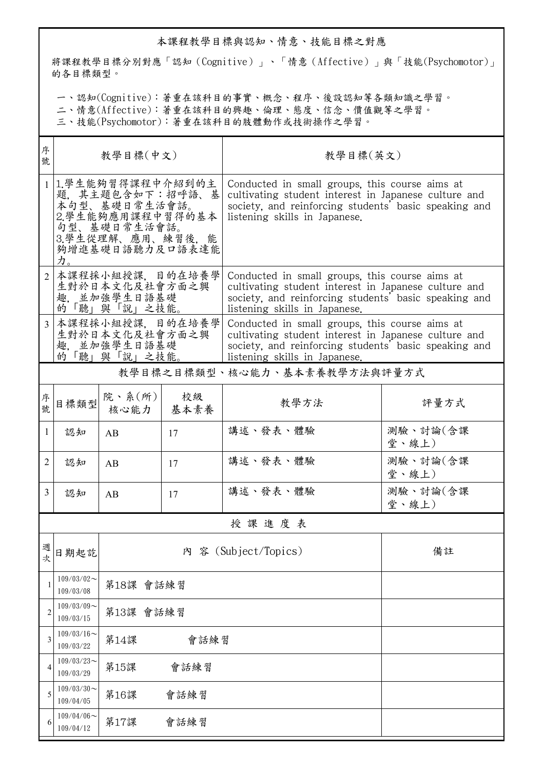## 本課程教學目標與認知、情意、技能目標之對應

將課程教學目標分別對應「認知(Cognitive)」、「情意(Affective)」與「技能(Psychomotor)」 的各目標類型。

一、認知(Cognitive):著重在該科目的事實、概念、程序、後設認知等各類知識之學習。

二、情意(Affective):著重在該科目的興趣、倫理、態度、信念、價值觀等之學習。

三、技能(Psychomotor):著重在該科目的肢體動作或技術操作之學習。

| 序<br>號         | 教學目標(中文)                                                           |                                                                                                                                  |      | 教學目標(英文)                                                                                                                                                                                         |                   |  |  |  |
|----------------|--------------------------------------------------------------------|----------------------------------------------------------------------------------------------------------------------------------|------|--------------------------------------------------------------------------------------------------------------------------------------------------------------------------------------------------|-------------------|--|--|--|
|                | 力。                                                                 | 1.學生能夠習得課程中介紹到的主<br>題, 其主題包含如下:招呼語、基<br>本句型、基礎日常生活會話。<br>2.學生能夠應用課程中習得的基本<br>句型、基礎日常生活會話。<br>3.學生從理解、應用、練習後,能<br>夠增進基礎日語聽力及口語表達能 |      | Conducted in small groups, this course aims at<br>cultivating student interest in Japanese culture and<br>society, and reinforcing students' basic speaking and<br>listening skills in Japanese. |                   |  |  |  |
| $\overline{2}$ | 本課程採小組授課, 目的在培養學<br>生對於日本文化及社會方面之興<br>趣, 並加強學生日語基礎<br>的「聽」與「說」之技能。 |                                                                                                                                  |      | Conducted in small groups, this course aims at<br>cultivating student interest in Japanese culture and<br>society, and reinforcing students' basic speaking and<br>listening skills in Japanese. |                   |  |  |  |
|                | 本課程採小組授課、目的在培養學<br>生對於日本文化及社會方面之興<br>趣. 並加強學生日語基礎<br>的「聽」與「說」之技能。  |                                                                                                                                  |      | Conducted in small groups, this course aims at<br>cultivating student interest in Japanese culture and<br>society, and reinforcing students' basic speaking and<br>listening skills in Japanese. |                   |  |  |  |
|                | 教學目標之目標類型、核心能力、基本素養教學方法與評量方式                                       |                                                                                                                                  |      |                                                                                                                                                                                                  |                   |  |  |  |
| 序<br>號.        | 目標類型                                                               | 院、系 $(\text{m})$<br>核心能力   基本素養                                                                                                  | 校級   | 教學方法                                                                                                                                                                                             | 評量方式              |  |  |  |
| $\mathbf{1}$   | 認知                                                                 | AB                                                                                                                               | 17   | 講述、發表、體驗                                                                                                                                                                                         | 測驗、討論(含課<br>堂、線上) |  |  |  |
| 2              | 認知                                                                 | AB                                                                                                                               | 17   | 講述、發表、體驗                                                                                                                                                                                         | 測驗、討論(含課<br>堂、線上) |  |  |  |
| 3              | 認知                                                                 | AB                                                                                                                               | 17   | 講述、發表、體驗                                                                                                                                                                                         | 測驗、討論(含課<br>堂、線上) |  |  |  |
|                | 授課進度表                                                              |                                                                                                                                  |      |                                                                                                                                                                                                  |                   |  |  |  |
| 週次             | 日期起訖                                                               | 内 容 (Subject/Topics)<br>備註                                                                                                       |      |                                                                                                                                                                                                  |                   |  |  |  |
|                | $109/03/02$ ~<br>109/03/08                                         | 第18課 會話練習                                                                                                                        |      |                                                                                                                                                                                                  |                   |  |  |  |
| $\overline{c}$ | $109/03/09$ ~<br>109/03/15                                         | 第13課 會話練習                                                                                                                        |      |                                                                                                                                                                                                  |                   |  |  |  |
| 3              | $109/03/16$ ~<br>109/03/22                                         | 第14課<br>會話練習                                                                                                                     |      |                                                                                                                                                                                                  |                   |  |  |  |
| 4              | $109/03/23$ ~<br>109/03/29                                         | 第15課<br>會話練習                                                                                                                     |      |                                                                                                                                                                                                  |                   |  |  |  |
| 5              | $109/03/30$ ~<br>109/04/05                                         | 第16課                                                                                                                             | 會話練習 |                                                                                                                                                                                                  |                   |  |  |  |
| 6              | $109/04/06$ ~<br>109/04/12                                         | 第17課                                                                                                                             | 會話練習 |                                                                                                                                                                                                  |                   |  |  |  |